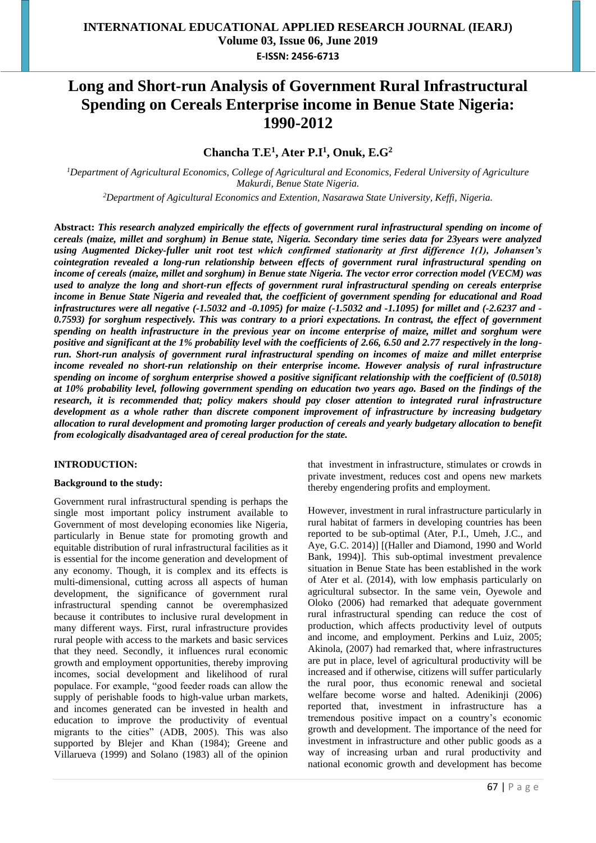# **Long and Short-run Analysis of Government Rural Infrastructural Spending on Cereals Enterprise income in Benue State Nigeria: 1990-2012**

# **Chancha T.E 1 , Ater P.I<sup>1</sup> , Onuk, E.G<sup>2</sup>**

*<sup>1</sup>Department of Agricultural Economics, College of Agricultural and Economics, Federal University of Agriculture Makurdi, Benue State Nigeria. <sup>2</sup>Department of Agicultural Economics and Extention, Nasarawa State University, Keffi, Nigeria.*

**Abstract:** *This research analyzed empirically the effects of government rural infrastructural spending on income of cereals (maize, millet and sorghum) in Benue state, Nigeria. Secondary time series data for 23years were analyzed using Augmented Dickey-fuller unit root test which confirmed stationarity at first difference 1(1), Johansen's cointegration revealed a long-run relationship between effects of government rural infrastructural spending on income of cereals (maize, millet and sorghum) in Benue state Nigeria. The vector error correction model (VECM) was used to analyze the long and short-run effects of government rural infrastructural spending on cereals enterprise income in Benue State Nigeria and revealed that, the coefficient of government spending for educational and Road infrastructures were all negative (-1.5032 and -0.1095) for maize (-1.5032 and -1.1095) for millet and (-2.6237 and - 0.7593) for sorghum respectively. This was contrary to a priori expectations. In contrast, the effect of government spending on health infrastructure in the previous year on income enterprise of maize, millet and sorghum were positive and significant at the 1% probability level with the coefficients of 2.66, 6.50 and 2.77 respectively in the longrun. Short-run analysis of government rural infrastructural spending on incomes of maize and millet enterprise income revealed no short-run relationship on their enterprise income. However analysis of rural infrastructure spending on income of sorghum enterprise showed a positive significant relationship with the coefficient of (0.5018) at 10% probability level, following government spending on education two years ago. Based on the findings of the*  research, it is recommended that; policy makers should pay closer attention to integrated rural infrastructure *development as a whole rather than discrete component improvement of infrastructure by increasing budgetary allocation to rural development and promoting larger production of cereals and yearly budgetary allocation to benefit from ecologically disadvantaged area of cereal production for the state.*

# **INTRODUCTION:**

# **Background to the study:**

Government rural infrastructural spending is perhaps the single most important policy instrument available to Government of most developing economies like Nigeria, particularly in Benue state for promoting growth and equitable distribution of rural infrastructural facilities as it is essential for the income generation and development of any economy. Though, it is complex and its effects is multi-dimensional, cutting across all aspects of human development, the significance of government rural infrastructural spending cannot be overemphasized because it contributes to inclusive rural development in many different ways. First, rural infrastructure provides rural people with access to the markets and basic services that they need. Secondly, it influences rural economic growth and employment opportunities, thereby improving incomes, social development and likelihood of rural populace. For example, "good feeder roads can allow the supply of perishable foods to high-value urban markets, and incomes generated can be invested in health and education to improve the productivity of eventual migrants to the cities" (ADB, 2005). This was also supported by Blejer and Khan (1984); Greene and Villarueva (1999) and Solano (1983) all of the opinion

that investment in infrastructure, stimulates or crowds in private investment, reduces cost and opens new markets thereby engendering profits and employment.

However, investment in rural infrastructure particularly in rural habitat of farmers in developing countries has been reported to be sub-optimal (Ater, P.I., Umeh, J.C., and Aye, G.C. 2014)] [(Haller and Diamond, 1990 and World Bank, 1994)]. This sub-optimal investment prevalence situation in Benue State has been established in the work of Ater et al. (2014), with low emphasis particularly on agricultural subsector. In the same vein, Oyewole and Oloko (2006) had remarked that adequate government rural infrastructural spending can reduce the cost of production, which affects productivity level of outputs and income, and employment. Perkins and Luiz, 2005; Akinola, (2007) had remarked that, where infrastructures are put in place, level of agricultural productivity will be increased and if otherwise, citizens will suffer particularly the rural poor, thus economic renewal and societal welfare become worse and halted. Adenikinji (2006) reported that, investment in infrastructure has a tremendous positive impact on a country's economic growth and development. The importance of the need for investment in infrastructure and other public goods as a way of increasing urban and rural productivity and national economic growth and development has become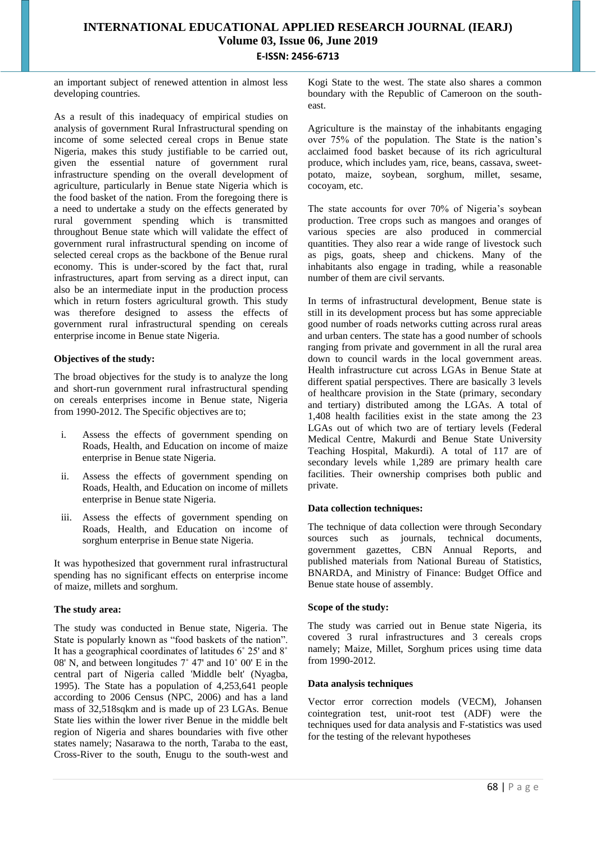an important subject of renewed attention in almost less developing countries.

As a result of this inadequacy of empirical studies on analysis of government Rural Infrastructural spending on income of some selected cereal crops in Benue state Nigeria, makes this study justifiable to be carried out, given the essential nature of government rural infrastructure spending on the overall development of agriculture, particularly in Benue state Nigeria which is the food basket of the nation. From the foregoing there is a need to undertake a study on the effects generated by rural government spending which is transmitted throughout Benue state which will validate the effect of government rural infrastructural spending on income of selected cereal crops as the backbone of the Benue rural economy. This is under-scored by the fact that, rural infrastructures, apart from serving as a direct input, can also be an intermediate input in the production process which in return fosters agricultural growth. This study was therefore designed to assess the effects of government rural infrastructural spending on cereals enterprise income in Benue state Nigeria.

# **Objectives of the study:**

The broad objectives for the study is to analyze the long and short-run government rural infrastructural spending on cereals enterprises income in Benue state, Nigeria from 1990-2012. The Specific objectives are to;

- i. Assess the effects of government spending on Roads, Health, and Education on income of maize enterprise in Benue state Nigeria.
- ii. Assess the effects of government spending on Roads, Health, and Education on income of millets enterprise in Benue state Nigeria.
- iii. Assess the effects of government spending on Roads, Health, and Education on income of sorghum enterprise in Benue state Nigeria.

It was hypothesized that government rural infrastructural spending has no significant effects on enterprise income of maize, millets and sorghum.

# **The study area:**

The study was conducted in Benue state, Nigeria. The State is popularly known as "food baskets of the nation". It has a geographical coordinates of latitudes 6˚ 25' and 8˚ 08' N, and between longitudes 7˚ 47' and 10˚ 00' E in the central part of Nigeria called 'Middle belt' (Nyagba, 1995). The State has a population of 4,253,641 people according to 2006 Census (NPC, 2006) and has a land mass of 32,518sqkm and is made up of 23 LGAs. Benue State lies within the lower river Benue in the middle belt region of Nigeria and shares boundaries with five other states namely; Nasarawa to the north, Taraba to the east, Cross-River to the south, Enugu to the south-west and

Kogi State to the west. The state also shares a common boundary with the Republic of Cameroon on the southeast.

Agriculture is the mainstay of the inhabitants engaging over 75% of the population. The State is the nation's acclaimed food basket because of its rich agricultural produce, which includes yam, rice, beans, cassava, sweetpotato, maize, soybean, sorghum, millet, sesame, cocoyam, etc.

The state accounts for over 70% of Nigeria's soybean production. Tree crops such as mangoes and oranges of various species are also produced in commercial quantities. They also rear a wide range of livestock such as pigs, goats, sheep and chickens. Many of the inhabitants also engage in trading, while a reasonable number of them are civil servants.

In terms of infrastructural development, Benue state is still in its development process but has some appreciable good number of roads networks cutting across rural areas and urban centers. The state has a good number of schools ranging from private and government in all the rural area down to council wards in the local government areas. Health infrastructure cut across LGAs in Benue State at different spatial perspectives. There are basically 3 levels of healthcare provision in the State (primary, secondary and tertiary) distributed among the LGAs. A total of 1,408 health facilities exist in the state among the 23 LGAs out of which two are of tertiary levels (Federal Medical Centre, Makurdi and Benue State University Teaching Hospital, Makurdi). A total of 117 are of secondary levels while 1,289 are primary health care facilities. Their ownership comprises both public and private.

# **Data collection techniques:**

The technique of data collection were through Secondary sources such as journals, technical documents, government gazettes, CBN Annual Reports, and published materials from National Bureau of Statistics, BNARDA, and Ministry of Finance: Budget Office and Benue state house of assembly.

# **Scope of the study:**

The study was carried out in Benue state Nigeria, its covered 3 rural infrastructures and 3 cereals crops namely; Maize, Millet, Sorghum prices using time data from 1990-2012.

# **Data analysis techniques**

Vector error correction models (VECM), Johansen cointegration test, unit-root test (ADF) were the techniques used for data analysis and F-statistics was used for the testing of the relevant hypotheses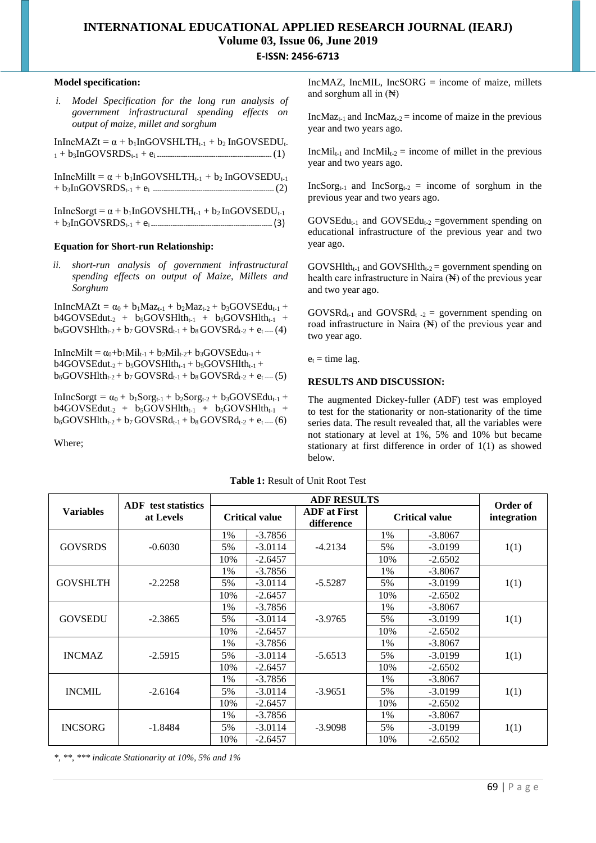## **Model specification:**

|  | <i>i.</i> Model Specification for the long run analysis of |  |  |
|--|------------------------------------------------------------|--|--|
|  | government infrastructural spending effects on             |  |  |
|  | output of maize, millet and sorghum                        |  |  |

 $InIncMAZt = \alpha + b_1InGOVSHLTH_{t-1} + b_2 InGOVSEDU_t$ <sup>1</sup> + b3InGOVSRDSt-1 + e<sup>i</sup> ----------------------------------------------------- (1)

InIncMillt =  $\alpha + b_1$ InGOVSHLTH<sub>t-1</sub> +  $b_2$  InGOVSEDU<sub>t-1</sub> + b3InGOVSRDSt-1 + ei -------------------------------------------------------- (2)

 $InInCSorgt = \alpha + b_1InGOVSHLTH_{t-1} + b_2 InGOVSEDU_{t-1}$ + b3InGOVSRDSt-1 + ei -------------------------------------------------------- (3)

### **Equation for Short-run Relationship:**

*ii. short-run analysis of government infrastructural spending effects on output of Maize, Millets and Sorghum*

 $InIncMAZt = \alpha_0 + b_1Maz_{t-1} + b_2Maz_{t-2} + b_3GOVSEdu_{t-1} +$  $b4GOVSEdut_{-2} + b_5GOVSHlth_{t-1} + b_5GOVSHlth_{t-1} +$  $b_6GOVSHlth_{t-2} + b_7 GOVSRd_{t-1} + b_8 GOVSRd_{t-2} + e_t$  ---- (4)

 $InIncMilt = \alpha_0 + b_1 Mil_{t-1} + b_2 Mil_{t-2} + b_3 GOVSEdu_{t-1} +$  $b4GOVSEdut_2 + b_5GOVSHlth_{t-1} + b_5GOVSHlth_{t-1} +$  $b_6$ GOVSHlth<sub>t-2</sub> +  $b_7$  GOVSRd<sub>t-1</sub> +  $b_8$  GOVSRd<sub>t-2</sub> +  $e_t$  .... (5)

InIncSorgt =  $\alpha_0 + b_1$ Sorg<sub>t-1</sub> +  $b_2$ Sorg<sub>t-2</sub> +  $b_3$ GOVSEdu<sub>t-1</sub> +  $b4GOVSEdut_{2} + b_{5}GOVSHlth_{t-1} + b_{5}GOVSHlth_{t-1} +$  $b_6$ GOVSHlth<sub>t-2</sub> +  $b_7$  GOVSRd<sub>t-1</sub> +  $b_8$  GOVSRd<sub>t-2</sub> +  $e_1$ .... (6)

Where;

IncMAZ, IncMIL, IncSORG = income of maize, millets and sorghum all in  $(\mathbb{H})$ 

IncMaz<sub>t-1</sub> and IncMaz<sub>t-2</sub> = income of maize in the previous year and two years ago.

 $IncMil_{t-1}$  and  $IncMil_{t-2}$  = income of millet in the previous year and two years ago.

 $IncSorg<sub>t-1</sub>$  and  $IncSorg<sub>t-2</sub> = income of sorghum in the$ previous year and two years ago.

 $GOVSEdu_{t-1}$  and  $GOVSEdu_{t-2}$  =government spending on educational infrastructure of the previous year and two year ago.

 $GOVSHlth_{t-1}$  and  $GOVSHlth_{t-2}$  government spending on health care infrastructure in Naira  $(\mathbb{H})$  of the previous year and two year ago.

 $GOVSRd_{t-1}$  and  $GOVSRd_{t-2}$  = government spending on road infrastructure in Naira (N) of the previous year and two year ago.

 $e_t =$  time lag.

# **RESULTS AND DISCUSSION:**

The augmented Dickey-fuller (ADF) test was employed to test for the stationarity or non-stationarity of the time series data. The result revealed that, all the variables were not stationary at level at 1%, 5% and 10% but became stationary at first difference in order of 1(1) as showed below.

|                  | <b>ADF</b> test statistics |                       | Order of  |                                   |                       |           |             |  |
|------------------|----------------------------|-----------------------|-----------|-----------------------------------|-----------------------|-----------|-------------|--|
| <b>Variables</b> | at Levels                  | <b>Critical value</b> |           | <b>ADF</b> at First<br>difference | <b>Critical value</b> |           | integration |  |
|                  |                            | 1%                    | $-3.7856$ |                                   | 1%                    | $-3.8067$ |             |  |
| <b>GOVSRDS</b>   | $-0.6030$                  | 5%                    | $-3.0114$ | $-4.2134$                         | 5%                    | $-3.0199$ | 1(1)        |  |
|                  |                            | 10%                   | $-2.6457$ |                                   | 10%                   | $-2.6502$ |             |  |
|                  |                            | 1%                    | $-3.7856$ |                                   | 1%                    | $-3.8067$ |             |  |
| <b>GOVSHLTH</b>  | $-2.2258$                  | 5%                    | $-3.0114$ | $-5.5287$                         | 5%                    | $-3.0199$ | 1(1)        |  |
|                  |                            | 10%                   | $-2.6457$ |                                   | 10%                   | $-2.6502$ |             |  |
|                  |                            | 1%                    | $-3.7856$ |                                   | 1%                    | $-3.8067$ |             |  |
| <b>GOVSEDU</b>   | $-2.3865$                  | 5%                    | $-3.0114$ | $-3.9765$                         | 5%                    | $-3.0199$ | 1(1)        |  |
|                  |                            | 10%                   | $-2.6457$ |                                   | 10%                   | $-2.6502$ |             |  |
|                  |                            | 1%                    | $-3.7856$ |                                   | $1\%$                 | $-3.8067$ |             |  |
| <b>INCMAZ</b>    | $-2.5915$                  | 5%                    | $-3.0114$ | $-5.6513$                         | 5%                    | $-3.0199$ | 1(1)        |  |
|                  |                            | 10%                   | $-2.6457$ |                                   | 10%                   | $-2.6502$ |             |  |
|                  |                            | 1%                    | $-3.7856$ |                                   | 1%                    | $-3.8067$ |             |  |
| <b>INCMIL</b>    | $-2.6164$                  | 5%                    | $-3.0114$ | $-3.9651$                         | 5%                    | $-3.0199$ | 1(1)        |  |
|                  |                            | 10%                   | $-2.6457$ |                                   | 10%                   | $-2.6502$ |             |  |
|                  |                            | 1%                    | $-3.7856$ |                                   | 1%                    | $-3.8067$ |             |  |
| <b>INCSORG</b>   | $-1.8484$                  | 5%                    | $-3.0114$ | $-3.9098$                         | 5%                    | $-3.0199$ | 1(1)        |  |
|                  |                            | 10%                   | $-2.6457$ |                                   | 10%                   | $-2.6502$ |             |  |

**Table 1:** Result of Unit Root Test

*\*, \*\*, \*\*\* indicate Stationarity at 10%, 5% and 1%*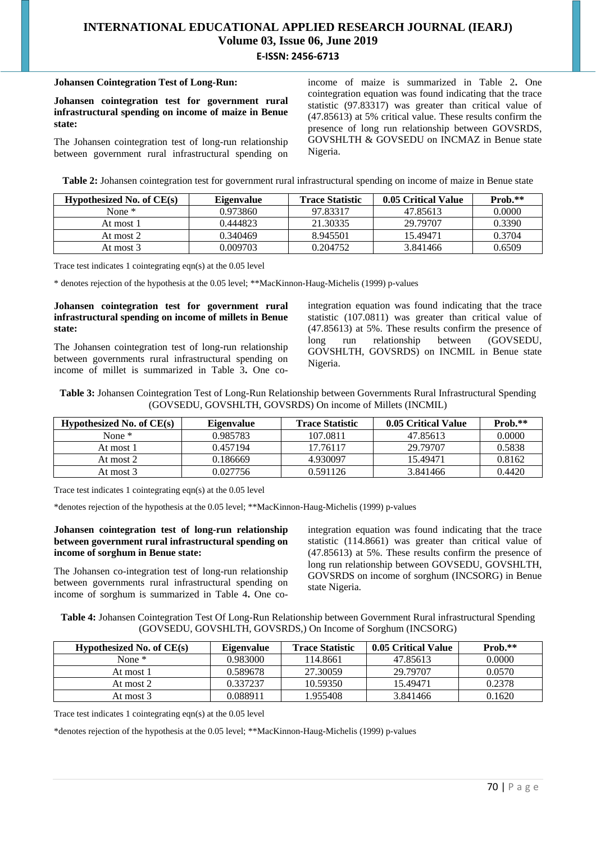#### **Johansen Cointegration Test of Long-Run:**

**Johansen cointegration test for government rural infrastructural spending on income of maize in Benue state:**

The Johansen cointegration test of long-run relationship between government rural infrastructural spending on income of maize is summarized in Table 2**.** One cointegration equation was found indicating that the trace statistic (97.83317) was greater than critical value of (47.85613) at 5% critical value. These results confirm the presence of long run relationship between GOVSRDS, GOVSHLTH & GOVSEDU on INCMAZ in Benue state Nigeria.

**Table 2:** Johansen cointegration test for government rural infrastructural spending on income of maize in Benue state

| Hypothesized No. of $CE(s)$ | Eigenvalue | <b>Trace Statistic</b> | 0.05 Critical Value | $Prob.**$ |
|-----------------------------|------------|------------------------|---------------------|-----------|
| None $*$                    | 0.973860   | 97.83317               | 47.85613            | 0.0000    |
| At most 1                   | 0.444823   | 21.30335               | 29.79707            | 0.3390    |
| At most 2                   | 0.340469   | 8.945501               | 15.49471            | 0.3704    |
| At most 3                   | 0.009703   | 0.204752               | 3.841466            | 0.6509    |

Trace test indicates 1 cointegrating eqn(s) at the 0.05 level

\* denotes rejection of the hypothesis at the 0.05 level; \*\*MacKinnon-Haug-Michelis (1999) p-values

#### **Johansen cointegration test for government rural infrastructural spending on income of millets in Benue state:**

The Johansen cointegration test of long-run relationship between governments rural infrastructural spending on income of millet is summarized in Table 3**.** One co-

integration equation was found indicating that the trace statistic (107.0811) was greater than critical value of (47.85613) at 5%. These results confirm the presence of long run relationship between (GOVSEDU, GOVSHLTH, GOVSRDS) on INCMIL in Benue state Nigeria.

**Table 3:** Johansen Cointegration Test of Long-Run Relationship between Governments Rural Infrastructural Spending (GOVSEDU, GOVSHLTH, GOVSRDS) On income of Millets (INCMIL)

| Hypothesized No. of $CE(s)$ | <b>Eigenvalue</b> | <b>Trace Statistic</b> | 0.05 Critical Value | $Prob.**$ |
|-----------------------------|-------------------|------------------------|---------------------|-----------|
| None $*$                    | 0.985783          | 107.0811               | 47.85613            | 0.0000    |
| At most 1                   | 0.457194          | 17.76117               | 29.79707            | 0.5838    |
| At most 2                   | 0.186669          | 4.930097               | 15.49471            | 0.8162    |
| At most 3                   | 0.027756          | 0.591126               | 3.841466            | 0.4420    |

Trace test indicates 1 cointegrating eqn(s) at the 0.05 level

\*denotes rejection of the hypothesis at the 0.05 level; \*\*MacKinnon-Haug-Michelis (1999) p-values

# **Johansen cointegration test of long-run relationship between government rural infrastructural spending on income of sorghum in Benue state:**

The Johansen co-integration test of long-run relationship between governments rural infrastructural spending on income of sorghum is summarized in Table 4**.** One cointegration equation was found indicating that the trace statistic (114.8661) was greater than critical value of (47.85613) at 5%. These results confirm the presence of long run relationship between GOVSEDU, GOVSHLTH, GOVSRDS on income of sorghum (INCSORG) in Benue state Nigeria.

**Table 4:** Johansen Cointegration Test Of Long-Run Relationship between Government Rural infrastructural Spending (GOVSEDU, GOVSHLTH, GOVSRDS,) On Income of Sorghum (INCSORG)

| Hypothesized No. of $CE(s)$ | Eigenvalue | <b>Trace Statistic</b> | 0.05 Critical Value | $Prob.**$ |
|-----------------------------|------------|------------------------|---------------------|-----------|
| None $*$                    | 0.983000   | 114.8661               | 47.85613            | 0.0000    |
| At most 1                   | 0.589678   | 27.30059               | 29.79707            | 0.0570    |
| At most 2                   | 0.337237   | 10.59350               | 15.49471            | 0.2378    |
| At most 3                   | 0.088911   | 1.955408               | 3.841466            | 0.1620    |

Trace test indicates 1 cointegrating eqn(s) at the  $0.05$  level

\*denotes rejection of the hypothesis at the 0.05 level; \*\*MacKinnon-Haug-Michelis (1999) p-values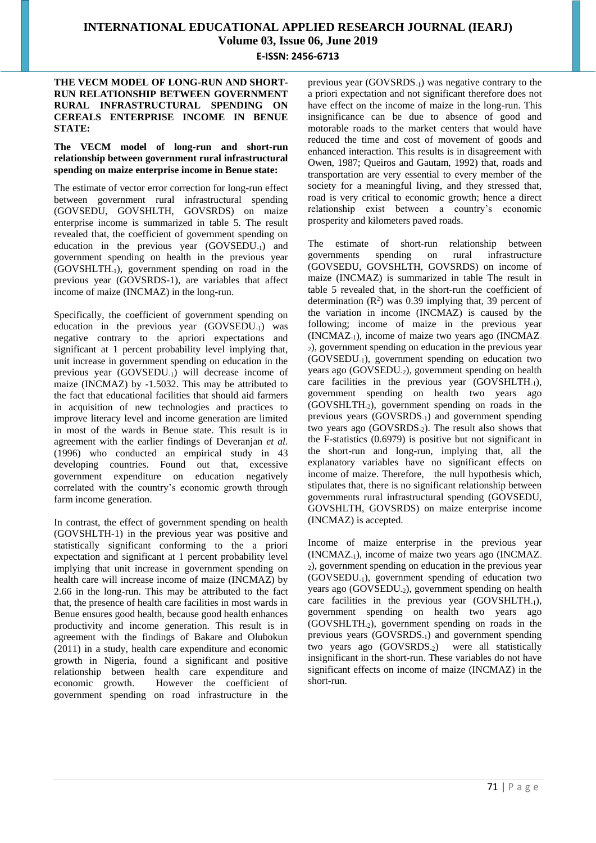# **THE VECM MODEL OF LONG-RUN AND SHORT-RUN RELATIONSHIP BETWEEN GOVERNMENT RURAL INFRASTRUCTURAL SPENDING ON CEREALS ENTERPRISE INCOME IN BENUE STATE:**

# **The VECM model of long-run and short-run relationship between government rural infrastructural spending on maize enterprise income in Benue state:**

The estimate of vector error correction for long-run effect between government rural infrastructural spending (GOVSEDU, GOVSHLTH, GOVSRDS) on maize enterprise income is summarized in table 5. The result revealed that, the coefficient of government spending on education in the previous year (GOVSEDU-1) and government spending on health in the previous year (GOVSHLTH-1), government spending on road in the previous year (GOVSRDS-1), are variables that affect income of maize (INCMAZ) in the long-run.

Specifically, the coefficient of government spending on education in the previous year (GOVSEDU-1) was negative contrary to the apriori expectations and significant at 1 percent probability level implying that, unit increase in government spending on education in the previous year (GOVSEDU-1) will decrease income of maize (INCMAZ) by -1.5032. This may be attributed to the fact that educational facilities that should aid farmers in acquisition of new technologies and practices to improve literacy level and income generation are limited in most of the wards in Benue state. This result is in agreement with the earlier findings of Deveranjan *et al.* (1996) who conducted an empirical study in 43 developing countries. Found out that, excessive government expenditure on education negatively correlated with the country's economic growth through farm income generation.

In contrast, the effect of government spending on health (GOVSHLTH-1) in the previous year was positive and statistically significant conforming to the a priori expectation and significant at 1 percent probability level implying that unit increase in government spending on health care will increase income of maize (INCMAZ) by 2.66 in the long-run. This may be attributed to the fact that, the presence of health care facilities in most wards in Benue ensures good health, because good health enhances productivity and income generation. This result is in agreement with the findings of Bakare and Olubokun (2011) in a study, health care expenditure and economic growth in Nigeria, found a significant and positive relationship between health care expenditure and economic growth. However the coefficient of government spending on road infrastructure in the

previous year (GOVSRDS-1) was negative contrary to the a priori expectation and not significant therefore does not have effect on the income of maize in the long-run. This insignificance can be due to absence of good and motorable roads to the market centers that would have reduced the time and cost of movement of goods and enhanced interaction. This results is in disagreement with Owen, 1987; Queiros and Gautam, 1992) that, roads and transportation are very essential to every member of the society for a meaningful living, and they stressed that, road is very critical to economic growth; hence a direct relationship exist between a country's economic prosperity and kilometers paved roads.

The estimate of short-run relationship between governments spending on rural infrastructure (GOVSEDU, GOVSHLTH, GOVSRDS) on income of maize (INCMAZ) is summarized in table The result in table 5 revealed that, in the short-run the coefficient of determination  $(R^2)$  was 0.39 implying that, 39 percent of the variation in income (INCMAZ) is caused by the following; income of maize in the previous year  $(INCMAZ<sub>-1</sub>)$ , income of maize two years ago  $(INCMAZ<sub>-1</sub>)$ <sup>2</sup>), government spending on education in the previous year (GOVSEDU-1), government spending on education two years ago (GOVSEDU-2), government spending on health care facilities in the previous year  $(GOVSHLTH<sub>-1</sub>)$ , government spending on health two years ago (GOVSHLTH-2), government spending on roads in the previous years (GOVSRDS-1) and government spending two years ago (GOVSRDS-2). The result also shows that the F-statistics (0.6979) is positive but not significant in the short-run and long-run, implying that, all the explanatory variables have no significant effects on income of maize. Therefore, the null hypothesis which, stipulates that, there is no significant relationship between governments rural infrastructural spending (GOVSEDU, GOVSHLTH, GOVSRDS) on maize enterprise income (INCMAZ) is accepted.

Income of maize enterprise in the previous year (INCMAZ-1), income of maize two years ago (INCMAZ-<sup>2</sup>), government spending on education in the previous year (GOVSEDU-1), government spending of education two years ago (GOVSEDU<sub>-2</sub>), government spending on health care facilities in the previous year (GOVSHLTH-1), government spending on health two years ago  $(GOVSHLTH<sub>2</sub>)$ , government spending on roads in the previous years (GOVSRDS-1) and government spending two years ago (GOVSRDS-2) were all statistically insignificant in the short-run. These variables do not have significant effects on income of maize (INCMAZ) in the short-run.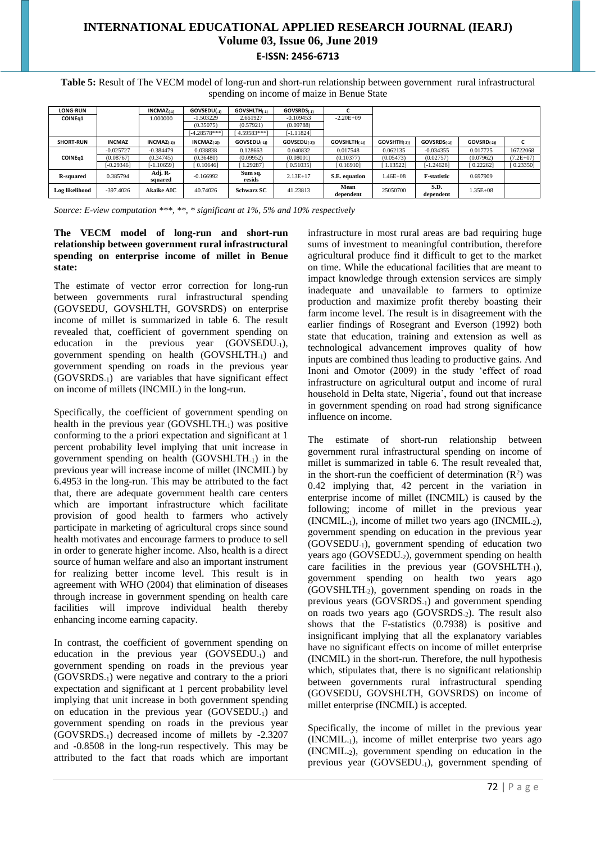**Table 5:** Result of The VECM model of long-run and short-run relationship between government rural infrastructural spending on income of maize in Benue State

| <b>LONG-RUN</b>     |               | $INCMAZ_{(-1)}$    | GOVSEDU(-1)     | <b>GOVSHLTH(1)</b> | GOVSRDS(1)               |                   |                          |                         |                  |             |
|---------------------|---------------|--------------------|-----------------|--------------------|--------------------------|-------------------|--------------------------|-------------------------|------------------|-------------|
| COINE <sub>q1</sub> |               | 1.000000           | 1.503229        | 2.661927           | $-0.109453$              | $-2.20E + 09$     |                          |                         |                  |             |
|                     |               |                    | (0.35075)       | (0.57921)          | (0.09788)                |                   |                          |                         |                  |             |
|                     |               |                    | $[-4.28578***]$ | $4.59583***$       | [-1.11824]               |                   |                          |                         |                  |             |
| <b>SHORT-RUN</b>    | <b>INCMAZ</b> | $INCMAZ_{(-1))}$   | $INCMAZ_{(-2)}$ | $GOVSEDU_{(-1)}$   | GOVSEDU <sub>(-2))</sub> | $GOVSHLTH_{(-1)}$ | GOVSHTH <sub>(-2))</sub> | GOVSRDS <sub>(-1)</sub> | $GOVSRD_{(-21)}$ |             |
|                     | $-0.025727$   | $-0.384479$        | 0.038838        | 0.128663           | 0.040832                 | 0.017548          | 0.062135                 | $-0.034355$             | 0.017725         | 16722068    |
| <b>COINEa1</b>      | (0.08767)     | (0.34745)          | (0.36480)       | (0.09952)          | (0.08001)                | (0.10377)         | (0.05473)                | (0.02757)               | (0.07962)        | $(7.2E+07)$ |
|                     | $-0.29346$    | <b>1.106591</b>    | 0.10646         | 1.292871           | [0.51035]                | [ 0.16910]        | 1.135221                 | [-1.24628]              | [0.22262]        | [0.23350]   |
| <b>R-squared</b>    | 0.385794      | Adj. R-<br>squared | $-0.166992$     | Sum sq.<br>resids  | $2.13E+17$               | S.E. equation     | $1.46E + 08$             | <b>F-statistic</b>      | 0.697909         |             |
| Log likelihood      | $-397.4026$   | <b>Akaike AIC</b>  | 40.74026        | <b>Schwarz SC</b>  | 41.23813                 | Mean<br>dependent | 25050700                 | S.D.<br>dependent       | $1.35E + 08$     |             |

*Source: E-view computation \*\*\*, \*\*, \* significant at 1%, 5% and 10% respectively*

### **The VECM model of long-run and short-run relationship between government rural infrastructural spending on enterprise income of millet in Benue state:**

The estimate of vector error correction for long-run between governments rural infrastructural spending (GOVSEDU, GOVSHLTH, GOVSRDS) on enterprise income of millet is summarized in table 6. The result revealed that, coefficient of government spending on education in the previous year (GOVSEDU<sub>-1</sub>), government spending on health (GOVSHLTH-1) and government spending on roads in the previous year (GOVSRDS-1) are variables that have significant effect on income of millets (INCMIL) in the long-run.

Specifically, the coefficient of government spending on health in the previous year  $(GOVSHLTH<sub>-1</sub>)$  was positive conforming to the a priori expectation and significant at 1 percent probability level implying that unit increase in government spending on health  $(GOVSHLTH_{-1})$  in the previous year will increase income of millet (INCMIL) by 6.4953 in the long-run. This may be attributed to the fact that, there are adequate government health care centers which are important infrastructure which facilitate provision of good health to farmers who actively participate in marketing of agricultural crops since sound health motivates and encourage farmers to produce to sell in order to generate higher income. Also, health is a direct source of human welfare and also an important instrument for realizing better income level. This result is in agreement with WHO (2004) that elimination of diseases through increase in government spending on health care facilities will improve individual health thereby enhancing income earning capacity.

In contrast, the coefficient of government spending on education in the previous year (GOVSEDU-1) and government spending on roads in the previous year (GOVSRDS-1) were negative and contrary to the a priori expectation and significant at 1 percent probability level implying that unit increase in both government spending on education in the previous year (GOVSEDU-1) and government spending on roads in the previous year (GOVSRDS-1) decreased income of millets by -2.3207 and -0.8508 in the long-run respectively. This may be attributed to the fact that roads which are important infrastructure in most rural areas are bad requiring huge sums of investment to meaningful contribution, therefore agricultural produce find it difficult to get to the market on time. While the educational facilities that are meant to impact knowledge through extension services are simply inadequate and unavailable to farmers to optimize production and maximize profit thereby boasting their farm income level. The result is in disagreement with the earlier findings of Rosegrant and Everson (1992) both state that education, training and extension as well as technological advancement improves quality of how inputs are combined thus leading to productive gains. And Inoni and Omotor (2009) in the study 'effect of road infrastructure on agricultural output and income of rural household in Delta state, Nigeria', found out that increase in government spending on road had strong significance influence on income.

The estimate of short-run relationship between government rural infrastructural spending on income of millet is summarized in table 6. The result revealed that, in the short-run the coefficient of determination  $(R^2)$  was 0.42 implying that, 42 percent in the variation in enterprise income of millet (INCMIL) is caused by the following; income of millet in the previous year (INCMIL-1), income of millet two years ago (INCMIL-2), government spending on education in the previous year (GOVSEDU-1), government spending of education two years ago (GOVSEDU-2), government spending on health care facilities in the previous year (GOVSHLTH<sub>-1</sub>), government spending on health two years ago  $(GOVSHLTH<sub>2</sub>)$ , government spending on roads in the previous years (GOVSRDS-1) and government spending on roads two years ago (GOVSRDS-2). The result also shows that the F-statistics (0.7938) is positive and insignificant implying that all the explanatory variables have no significant effects on income of millet enterprise (INCMIL) in the short-run. Therefore, the null hypothesis which, stipulates that, there is no significant relationship between governments rural infrastructural spending (GOVSEDU, GOVSHLTH, GOVSRDS) on income of millet enterprise (INCMIL) is accepted.

Specifically, the income of millet in the previous year (INCMIL-1), income of millet enterprise two years ago (INCMIL-2), government spending on education in the previous year (GOVSEDU-1), government spending of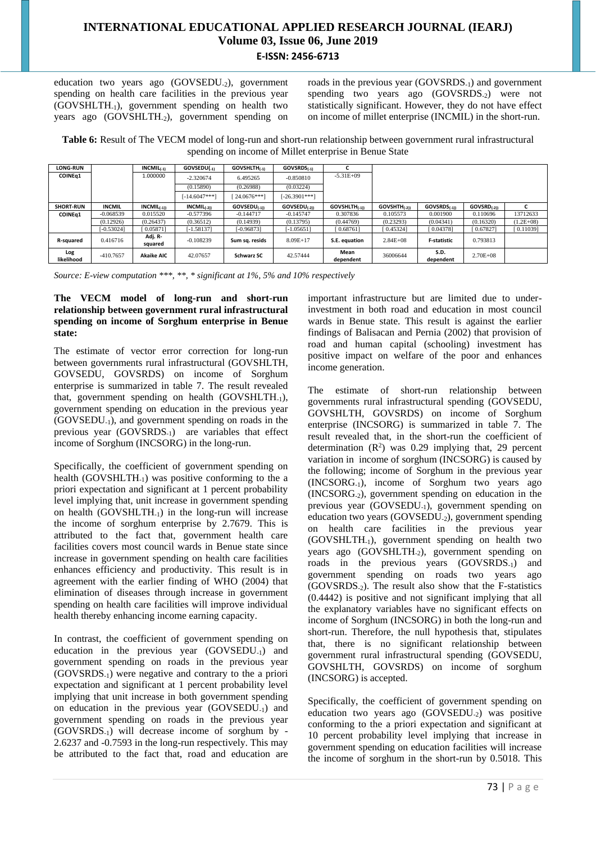education two years ago (GOVSEDU-2), government spending on health care facilities in the previous year (GOVSHLTH-1), government spending on health two years ago  $(GOVSHLTH_{2})$ , government spending on roads in the previous year (GOVSRDS-1) and government spending two years ago  $(GOVSRDS<sub>-2</sub>)$  were not statistically significant. However, they do not have effect on income of millet enterprise (INCMIL) in the short-run.

**Table 6:** Result of The VECM model of long-run and short-run relationship between government rural infrastructural spending on income of Millet enterprise in Benue State

| <b>LONG-RUN</b>     |               | $INCMIL_{(-1)}$    | GOVSEDU(-1)     | <b>GOVSHLTH(1)</b> | GOVSRDS(-1)              |                    |                          |                    |                  |             |
|---------------------|---------------|--------------------|-----------------|--------------------|--------------------------|--------------------|--------------------------|--------------------|------------------|-------------|
| COINE <sub>q1</sub> |               | 1.000000           | $-2.320674$     | 6.495265           | $-0.850810$              | $-5.31E+09$        |                          |                    |                  |             |
|                     |               |                    | (0.15890)       | (0.26988)          | (0.03224)                |                    |                          |                    |                  |             |
|                     |               |                    | $[-14.6047**!]$ | 24.0676***]        | $[-26.3901***]$          |                    |                          |                    |                  |             |
| <b>SHORT-RUN</b>    | <b>INCMIL</b> | $INCMIL_{(-1)}$    | $INCMIL_{(-2)}$ | $GOVSEDU_{(-1)}$   | GOVSEDU <sub>(-21)</sub> | $GOVSHLTH_{(-1))}$ | GOVSHTH <sub>(-21)</sub> | $GOVSRDS_{(-1)}$   | $GOVSRD_{(-21)}$ |             |
| <b>COINEa1</b>      | $-0.068539$   | 0.015520           | $-0.577396$     | $-0.144717$        | $-0.145747$              | 0.307836           | 0.105573                 | 0.001900           | 0.110696         | 13712633    |
|                     | (0.12926)     | (0.26437)          | (0.36512)       | (0.14939)          | (0.13795)                | (0.44769)          | (0.23293)                | (0.04341)          | (0.16320)        | $(1.2E+08)$ |
|                     | $[-0.53024]$  | [0.05871]          | $-1.58137$      | $[-0.96873]$       | $-1.05651$               | [0.68761]          | [0.45324]                | [0.04378]          | 0.67827          | [0.11039]   |
| R-squared           | 0.416716      | Adj. R-<br>squared | $-0.108239$     | Sum sa. resids     | $8.09E+17$               | S.E. equation      | $2.84E + 08$             | <b>F-statistic</b> | 0.793813         |             |
| Log<br>likelihood   | $-410.7657$   | <b>Akaike AIC</b>  | 42.07657        | <b>Schwarz SC</b>  | 42.57444                 | Mean<br>dependent  | 36006644                 | S.D.<br>dependent  | $2.70E + 08$     |             |

*Source: E-view computation \*\*\*, \*\*, \* significant at 1%, 5% and 10% respectively*

# **The VECM model of long-run and short-run relationship between government rural infrastructural spending on income of Sorghum enterprise in Benue state:**

The estimate of vector error correction for long-run between governments rural infrastructural (GOVSHLTH, GOVSEDU, GOVSRDS) on income of Sorghum enterprise is summarized in table 7. The result revealed that, government spending on health  $(GOVSHLTH_{-1})$ , government spending on education in the previous year (GOVSEDU-1), and government spending on roads in the previous year (GOVSRDS<sub>-1</sub>) are variables that effect income of Sorghum (INCSORG) in the long-run.

Specifically, the coefficient of government spending on health (GOVSHLTH<sub>-1</sub>) was positive conforming to the a priori expectation and significant at 1 percent probability level implying that, unit increase in government spending on health (GOVSHLTH-1) in the long-run will increase the income of sorghum enterprise by 2.7679. This is attributed to the fact that, government health care facilities covers most council wards in Benue state since increase in government spending on health care facilities enhances efficiency and productivity. This result is in agreement with the earlier finding of WHO (2004) that elimination of diseases through increase in government spending on health care facilities will improve individual health thereby enhancing income earning capacity.

In contrast, the coefficient of government spending on education in the previous year (GOVSEDU-1) and government spending on roads in the previous year (GOVSRDS-1) were negative and contrary to the a priori expectation and significant at 1 percent probability level implying that unit increase in both government spending on education in the previous year (GOVSEDU-1) and government spending on roads in the previous year (GOVSRDS-1) will decrease income of sorghum by - 2.6237 and -0.7593 in the long-run respectively. This may be attributed to the fact that, road and education are

important infrastructure but are limited due to underinvestment in both road and education in most council wards in Benue state. This result is against the earlier findings of Balisacan and Pernia (2002) that provision of road and human capital (schooling) investment has positive impact on welfare of the poor and enhances income generation.

The estimate of short-run relationship between governments rural infrastructural spending (GOVSEDU, GOVSHLTH, GOVSRDS) on income of Sorghum enterprise (INCSORG) is summarized in table 7. The result revealed that, in the short-run the coefficient of determination  $(R^2)$  was 0.29 implying that, 29 percent variation in income of sorghum (INCSORG) is caused by the following; income of Sorghum in the previous year (INCSORG-1), income of Sorghum two years ago (INCSORG-2), government spending on education in the previous year (GOVSEDU-1), government spending on education two years (GOVSEDU-2), government spending on health care facilities in the previous year (GOVSHLTH-1), government spending on health two years ago (GOVSHLTH<sub>-2</sub>), government spending on roads in the previous years (GOVSRDS-1) and government spending on roads two years ago (GOVSRDS-2). The result also show that the F-statistics (0.4442) is positive and not significant implying that all the explanatory variables have no significant effects on income of Sorghum (INCSORG) in both the long-run and short-run. Therefore, the null hypothesis that, stipulates that, there is no significant relationship between government rural infrastructural spending (GOVSEDU, GOVSHLTH, GOVSRDS) on income of sorghum (INCSORG) is accepted.

Specifically, the coefficient of government spending on education two years ago (GOVSEDU-2) was positive conforming to the a priori expectation and significant at 10 percent probability level implying that increase in government spending on education facilities will increase the income of sorghum in the short-run by 0.5018. This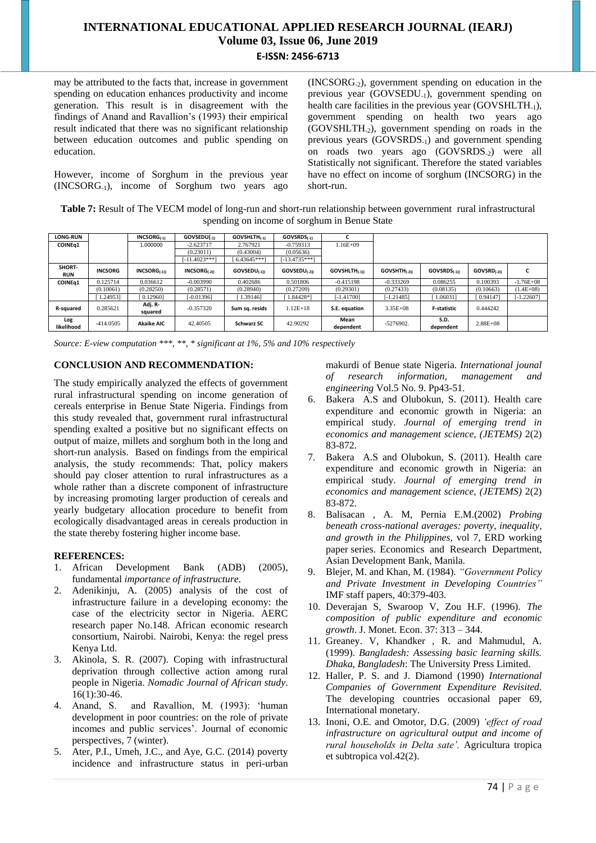may be attributed to the facts that, increase in government spending on education enhances productivity and income generation. This result is in disagreement with the findings of Anand and Ravallion's (1993) their empirical result indicated that there was no significant relationship between education outcomes and public spending on education.

However, income of Sorghum in the previous year (INCSORG-1), income of Sorghum two years ago (INCSORG-2), government spending on education in the previous year (GOVSEDU-1), government spending on health care facilities in the previous year (GOVSHLTH<sub>-1</sub>), government spending on health two years ago (GOVSHLTH-2), government spending on roads in the previous years (GOVSRDS-1) and government spending on roads two years ago (GOVSRDS-2) were all Statistically not significant. Therefore the stated variables have no effect on income of sorghum (INCSORG) in the short-run.

**Table 7:** Result of The VECM model of long-run and short-run relationship between government rural infrastructural spending on income of sorghum in Benue State

| <b>LONG-RUN</b>      |                | <b>INCSORG</b> (-1) | GOVSEDU(-1)       | GOVSHLTH(-1)      | GOVSRDS(-1)              |                      |                   |                    |                  |               |
|----------------------|----------------|---------------------|-------------------|-------------------|--------------------------|----------------------|-------------------|--------------------|------------------|---------------|
| COINE <sub>q1</sub>  |                | 1.000000            | $-2.623717$       | 2.767921          | $-0.759313$              | $1.16E + 09$         |                   |                    |                  |               |
|                      |                |                     | (0.23011)         | (0.43004)         | (0.05636)                |                      |                   |                    |                  |               |
|                      |                |                     | $-11.4023***$     | $6.43645***$      | $[-13.4735***]$          |                      |                   |                    |                  |               |
| SHORT-<br><b>RUN</b> | <b>INCSORG</b> | $INCSORG_{(-1)}$    | $INCSORG_{(.21)}$ | $GOVSEDU_{(-1)}$  | GOVSEDU <sub>(-2))</sub> | <b>GOVSHLTH(.1))</b> | $GOVSHTH_{(.21)}$ | GOVSRDS(-1))       | $GOVSRD_{(-21)}$ | ι.            |
| COINEa1              | 0.125714       | 0.036612            | $-0.003990$       | 0.402686          | 0.501806                 | $-0.415198$          | $-0.333269$       | 0.086255           | 0.100393         | $-1.76E + 08$ |
|                      | (0.10061)      | (0.28250)           | (0.28571)         | (0.28940)         | (0.27209)                | (0.29301)            | (0.27433)         | (0.08135)          | (0.10663)        | $1.4E + 08$   |
|                      | 1.249531       | 0.129601            | $[-0.01396]$      | 1.391461          | 1.84428*1                | $[-1.41700]$         | $-1.21485$        | 1.060311           | [0.94147]        | $-1.22607$    |
| R-squared            | 0.285621       | Adj. R-<br>squared  | $-0.357320$       | Sum sq. resids    | $1.12E+18$               | S.E. equation        | $3.35E + 08$      | <b>F-statistic</b> | 0.444242         |               |
| Log<br>likelihood    | $-414.0505$    | <b>Akaike AIC</b>   | 42.40505          | <b>Schwarz SC</b> | 42.90292                 | Mean<br>dependent    | $-5276902.$       | S.D.<br>dependent  | $2.88E + 08$     |               |

*Source: E-view computation \*\*\*, \*\*, \* significant at 1%, 5% and 10% respectively*

# **CONCLUSION AND RECOMMENDATION:**

The study empirically analyzed the effects of government rural infrastructural spending on income generation of cereals enterprise in Benue State Nigeria. Findings from this study revealed that, government rural infrastructural spending exalted a positive but no significant effects on output of maize, millets and sorghum both in the long and short-run analysis. Based on findings from the empirical analysis, the study recommends: That, policy makers should pay closer attention to rural infrastructures as a whole rather than a discrete component of infrastructure by increasing promoting larger production of cereals and yearly budgetary allocation procedure to benefit from ecologically disadvantaged areas in cereals production in the state thereby fostering higher income base.

# **REFERENCES:**

- 1. African Development Bank (ADB) (2005), fundamental *importance of infrastructure*.
- 2. Adenikinju, A. (2005) analysis of the cost of infrastructure failure in a developing economy: the case of the electricity sector in Nigeria. AERC research paper No.148. African economic research consortium, Nairobi. Nairobi, Kenya: the regel press Kenya Ltd.
- 3. Akinola, S. R. (2007). Coping with infrastructural deprivation through collective action among rural people in Nigeria. *Nomadic Journal of African study*.  $16(1):30-46.$
- 4. Anand, S. and Ravallion, M. (1993): 'human development in poor countries: on the role of private incomes and public services'. Journal of economic perspectives, 7 (winter).
- 5. Ater, P.I., Umeh, J.C., and Aye, G.C. (2014) poverty incidence and infrastructure status in peri-urban

makurdi of Benue state Nigeria. *International jounal of research information, management and engineering* Vol.5 No. 9. Pp43-51.

- 6. Bakera A.S and Olubokun, S. (2011). Health care expenditure and economic growth in Nigeria: an empirical study. *Journal of emerging trend in economics and management science, (JETEMS)* 2(2) 83-872.
- 7. Bakera A.S and Olubokun, S. (2011). Health care expenditure and economic growth in Nigeria: an empirical study. *Journal of emerging trend in economics and management science, (JETEMS)* 2(2) 83-872.
- 8. Balisacan , A. M, Pernia E.M.(2002) *Probing beneath cross-national averages: poverty, inequality, and growth in the Philippines,* vol 7, ERD working paper series. Economics and Research Department, Asian Development Bank, Manila.
- 9. Blejer, M. and Khan, M. (1984). *"Government Policy and Private Investment in Developing Countries"* IMF staff papers, 40:379-403.
- 10. Deverajan S, Swaroop V, Zou H.F. (1996). *The composition of public expenditure and economic growth*. J. Monet. Econ. 37: 313 – 344.
- 11. Greaney. V, Khandker , R. and Mahmudul, A. (1999). *Bangladesh: Assessing basic learning skills. Dhaka, Bangladesh*: The University Press Limited.
- 12. Haller, P. S. and J. Diamond (1990) *International Companies of Government Expenditure Revisited.* The developing countries occasional paper 69, International monetary.
- 13. Inoni, O.E. and Omotor, D.G. (2009) *'effect of road infrastructure on agricultural output and income of rural households in Delta sate'.* Agricultura tropica et subtropica vol.42(2).